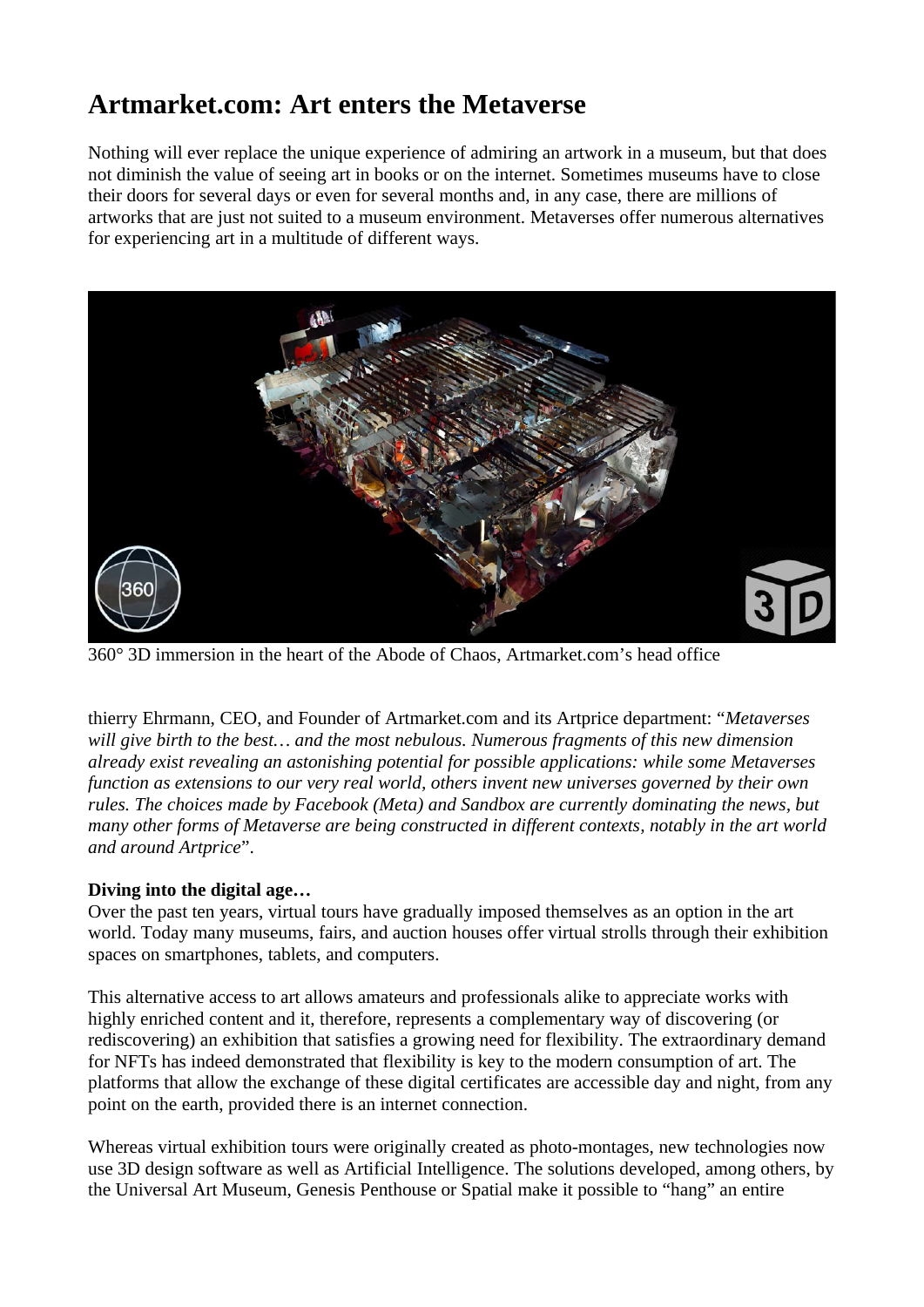## **Artmarket.com: Art enters the Metaverse**

Nothing will ever replace the unique experience of admiring an artwork in a museum, but that does not diminish the value of seeing art in books or on the internet. Sometimes museums have to close their doors for several days or even for several months and, in any case, there are millions of artworks that are just not suited to a museum environment. Metaverses offer numerous alternatives for experiencing art in a multitude of different ways.



360° 3D immersion in the heart of the Abode of Chaos, Artmarket.com's head office

thierry Ehrmann, CEO, and Founder of Artmarket.com and its Artprice department: "*Metaverses will give birth to the best… and the most nebulous. Numerous fragments of this new dimension already exist revealing an astonishing potential for possible applications: while some Metaverses function as extensions to our very real world, others invent new universes governed by their own rules. The choices made by Facebook (Meta) and Sandbox are currently dominating the news, but many other forms of Metaverse are being constructed in different contexts, notably in the art world and around Artprice*".

### **Diving into the digital age…**

Over the past ten years, virtual tours have gradually imposed themselves as an option in the art world. Today many museums, fairs, and auction houses offer virtual strolls through their exhibition spaces on smartphones, tablets, and computers.

This alternative access to art allows amateurs and professionals alike to appreciate works with highly enriched content and it, therefore, represents a complementary way of discovering (or rediscovering) an exhibition that satisfies a growing need for flexibility. The extraordinary demand for NFTs has indeed demonstrated that flexibility is key to the modern consumption of art. The platforms that allow the exchange of these digital certificates are accessible day and night, from any point on the earth, provided there is an internet connection.

Whereas virtual exhibition tours were originally created as photo-montages, new technologies now use 3D design software as well as Artificial Intelligence. The solutions developed, among others, by the Universal Art Museum, Genesis Penthouse or Spatial make it possible to "hang" an entire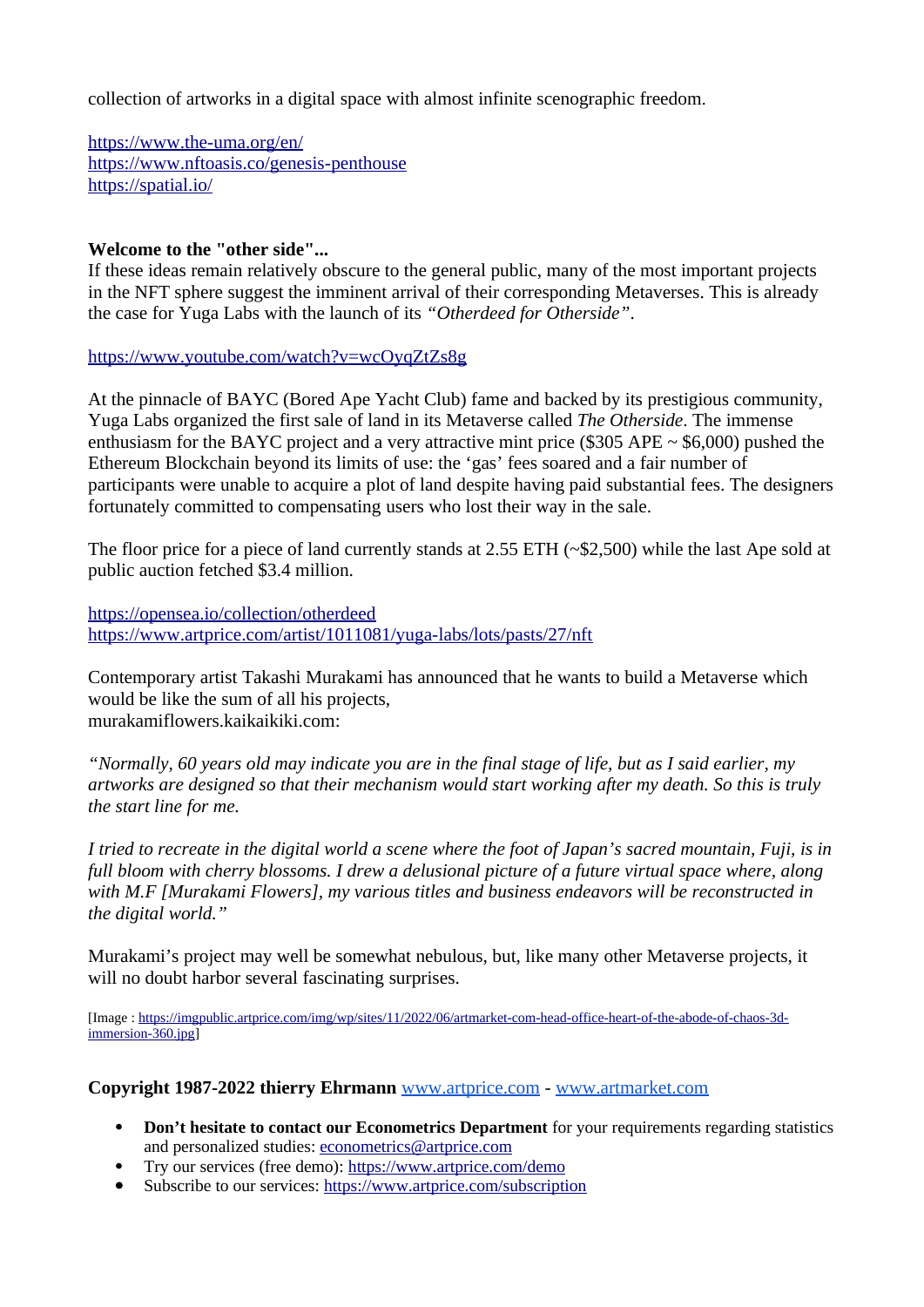collection of artworks in a digital space with almost infinite scenographic freedom.

<https://www.the-uma.org/en/> <https://www.nftoasis.co/genesis-penthouse> <https://spatial.io/>

#### **Welcome to the "other side"...**

If these ideas remain relatively obscure to the general public, many of the most important projects in the NFT sphere suggest the imminent arrival of their corresponding Metaverses. This is already the case for Yuga Labs with the launch of its *"Otherdeed for Otherside"*.

<https://www.youtube.com/watch?v=wcOyqZtZs8g>

At the pinnacle of BAYC (Bored Ape Yacht Club) fame and backed by its prestigious community, Yuga Labs organized the first sale of land in its Metaverse called *The Otherside*. The immense enthusiasm for the BAYC project and a very attractive mint price (\$305 APE  $\sim$  \$6,000) pushed the Ethereum Blockchain beyond its limits of use: the 'gas' fees soared and a fair number of participants were unable to acquire a plot of land despite having paid substantial fees. The designers fortunately committed to compensating users who lost their way in the sale.

The floor price for a piece of land currently stands at 2.55 ETH (~\$2,500) while the last Ape sold at public auction fetched \$3.4 million.

<https://opensea.io/collection/otherdeed> <https://www.artprice.com/artist/1011081/yuga-labs/lots/pasts/27/nft>

Contemporary artist Takashi Murakami has announced that he wants to build a Metaverse which would be like the sum of all his projects, murakamiflowers.kaikaikiki.com:

*"Normally, 60 years old may indicate you are in the final stage of life, but as I said earlier, my artworks are designed so that their mechanism would start working after my death. So this is truly the start line for me.* 

*I tried to recreate in the digital world a scene where the foot of Japan's sacred mountain, Fuji, is in* full bloom with cherry blossoms. I drew a delusional picture of a future virtual space where, along *with M.F [Murakami Flowers], my various titles and business endeavors will be reconstructed in the digital world."*

Murakami's project may well be somewhat nebulous, but, like many other Metaverse projects, it will no doubt harbor several fascinating surprises.

[Image : [https://imgpublic.artprice.com/img/wp/sites/11/2022/06/artmarket-com-head-office-heart-of-the-abode-of-chaos-3d](https://imgpublic.artprice.com/img/wp/sites/11/2022/06/artmarket-com-head-office-heart-of-the-abode-of-chaos-3d-immersion-360.jpg)[immersion-360.jpg\]](https://imgpublic.artprice.com/img/wp/sites/11/2022/06/artmarket-com-head-office-heart-of-the-abode-of-chaos-3d-immersion-360.jpg)

#### **Copyright 1987-2022 thierry Ehrmann** [www.artprice.com](https://www.artprice.com/) - [www.artmarket.com](https://www.artmarket.com/)

- **Don't hesitate to contact our Econometrics Department** for your requirements regarding statistics and personalized studies: [econometrics@artprice.com](mailto:econometrics@artprice.com)
- Try our services (free demo):<https://www.artprice.com/demo>
- Subscribe to our services: <https://www.artprice.com/subscription>